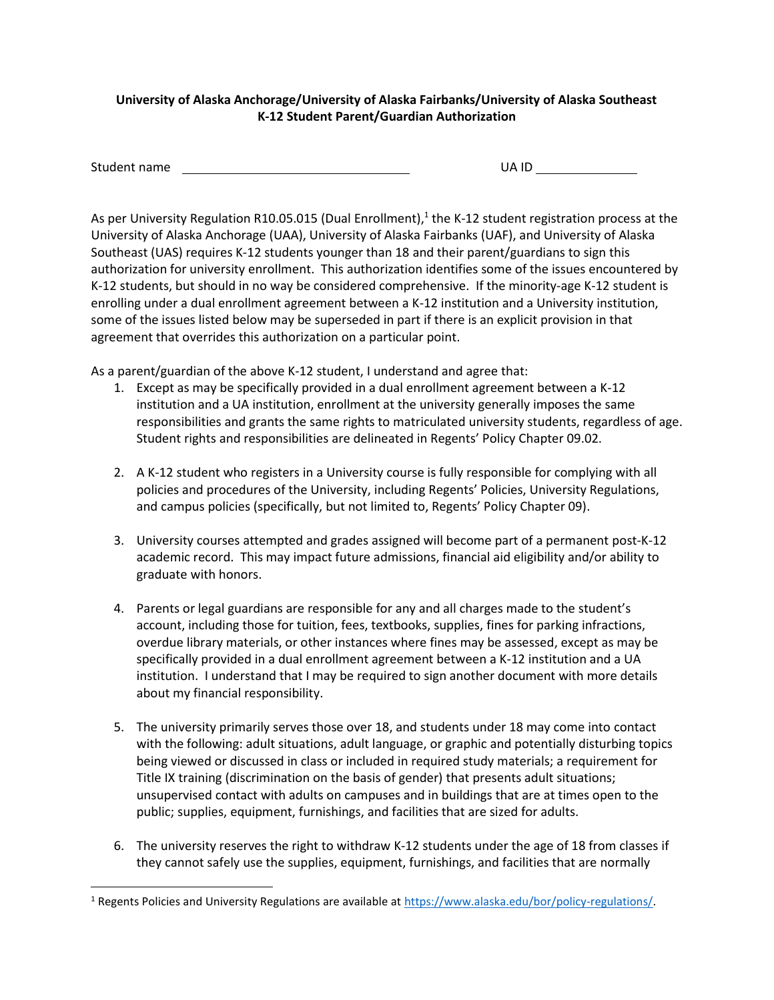## **University of Alaska Anchorage/University of Alaska Fairbanks/University of Alaska Southeast K-12 Student Parent/Guardian Authorization**

| Student name | UA ID |  |
|--------------|-------|--|
|--------------|-------|--|

As per University Regulation R10.05.015 (Dual Enrollment),<sup>1</sup> the K-12 student registration process at the University of Alaska Anchorage (UAA), University of Alaska Fairbanks (UAF), and University of Alaska Southeast (UAS) requires K-12 students younger than 18 and their parent/guardians to sign this authorization for university enrollment. This authorization identifies some of the issues encountered by K-12 students, but should in no way be considered comprehensive. If the minority-age K-12 student is enrolling under a dual enrollment agreement between a K-12 institution and a University institution, some of the issues listed below may be superseded in part if there is an explicit provision in that agreement that overrides this authorization on a particular point.

As a parent/guardian of the above K-12 student, I understand and agree that:

- 1. Except as may be specifically provided in a dual enrollment agreement between a K-12 institution and a UA institution, enrollment at the university generally imposes the same responsibilities and grants the same rights to matriculated university students, regardless of age. Student rights and responsibilities are delineated in Regents' Policy Chapter 09.02.
- 2. A K-12 student who registers in a University course is fully responsible for complying with all policies and procedures of the University, including Regents' Policies, University Regulations, and campus policies (specifically, but not limited to, Regents' Policy Chapter 09).
- 3. University courses attempted and grades assigned will become part of a permanent post-K-12 academic record. This may impact future admissions, financial aid eligibility and/or ability to graduate with honors.
- 4. Parents or legal guardians are responsible for any and all charges made to the student's account, including those for tuition, fees, textbooks, supplies, fines for parking infractions, overdue library materials, or other instances where fines may be assessed, except as may be specifically provided in a dual enrollment agreement between a K-12 institution and a UA institution. I understand that I may be required to sign another document with more details about my financial responsibility.
- 5. The university primarily serves those over 18, and students under 18 may come into contact with the following: adult situations, adult language, or graphic and potentially disturbing topics being viewed or discussed in class or included in required study materials; a requirement for Title IX training (discrimination on the basis of gender) that presents adult situations; unsupervised contact with adults on campuses and in buildings that are at times open to the public; supplies, equipment, furnishings, and facilities that are sized for adults.
- 6. The university reserves the right to withdraw K-12 students under the age of 18 from classes if they cannot safely use the supplies, equipment, furnishings, and facilities that are normally

 $\overline{\phantom{a}}$ 

<sup>1</sup> Regents Policies and University Regulations are available at [https://www.alaska.edu/bor/policy-regulations/.](https://www.alaska.edu/bor/policy-regulations/)